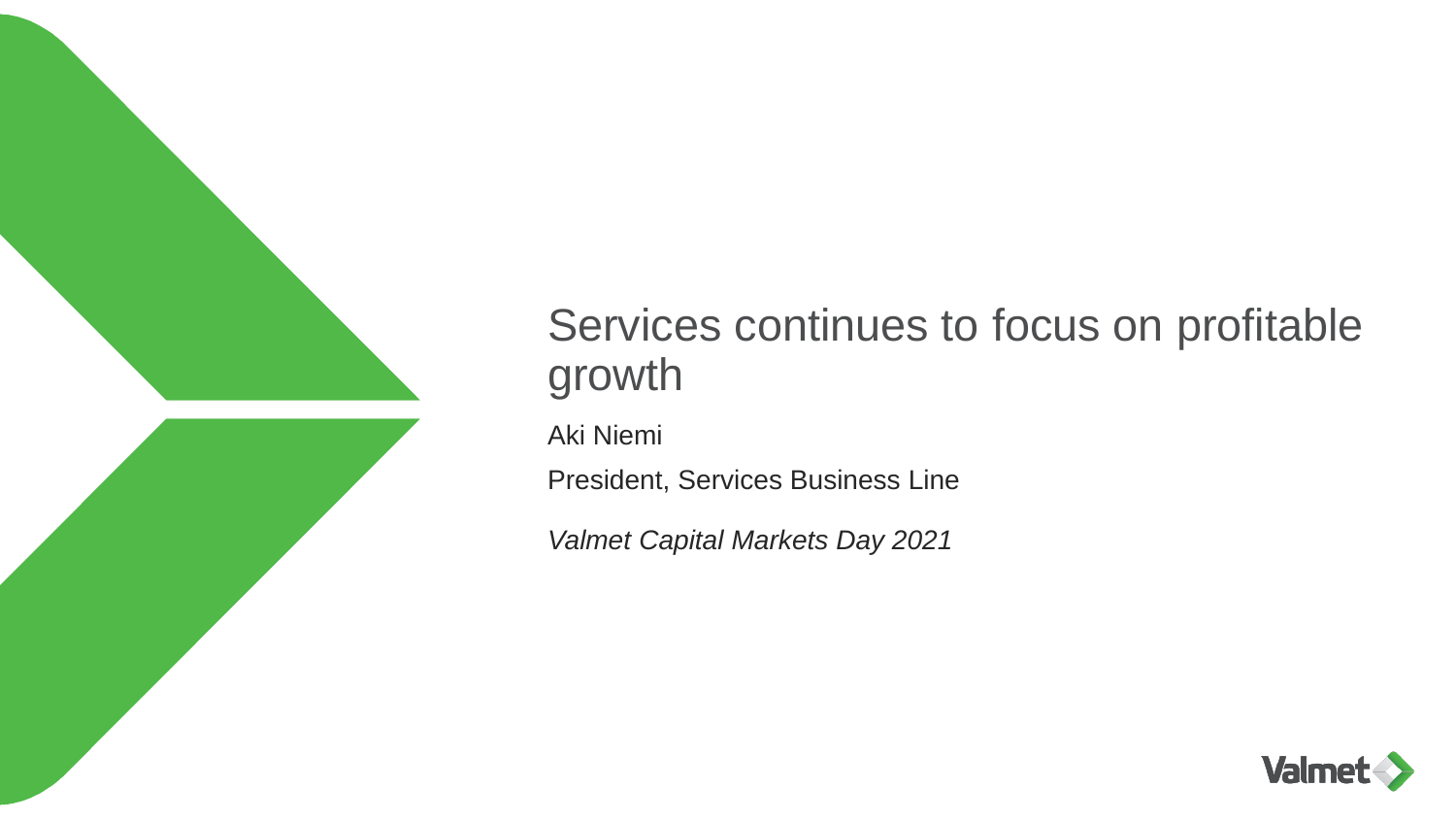

# Services continues to focus on profitable growth

Aki Niemi

President, Services Business Line

*Valmet Capital Markets Day 2021*

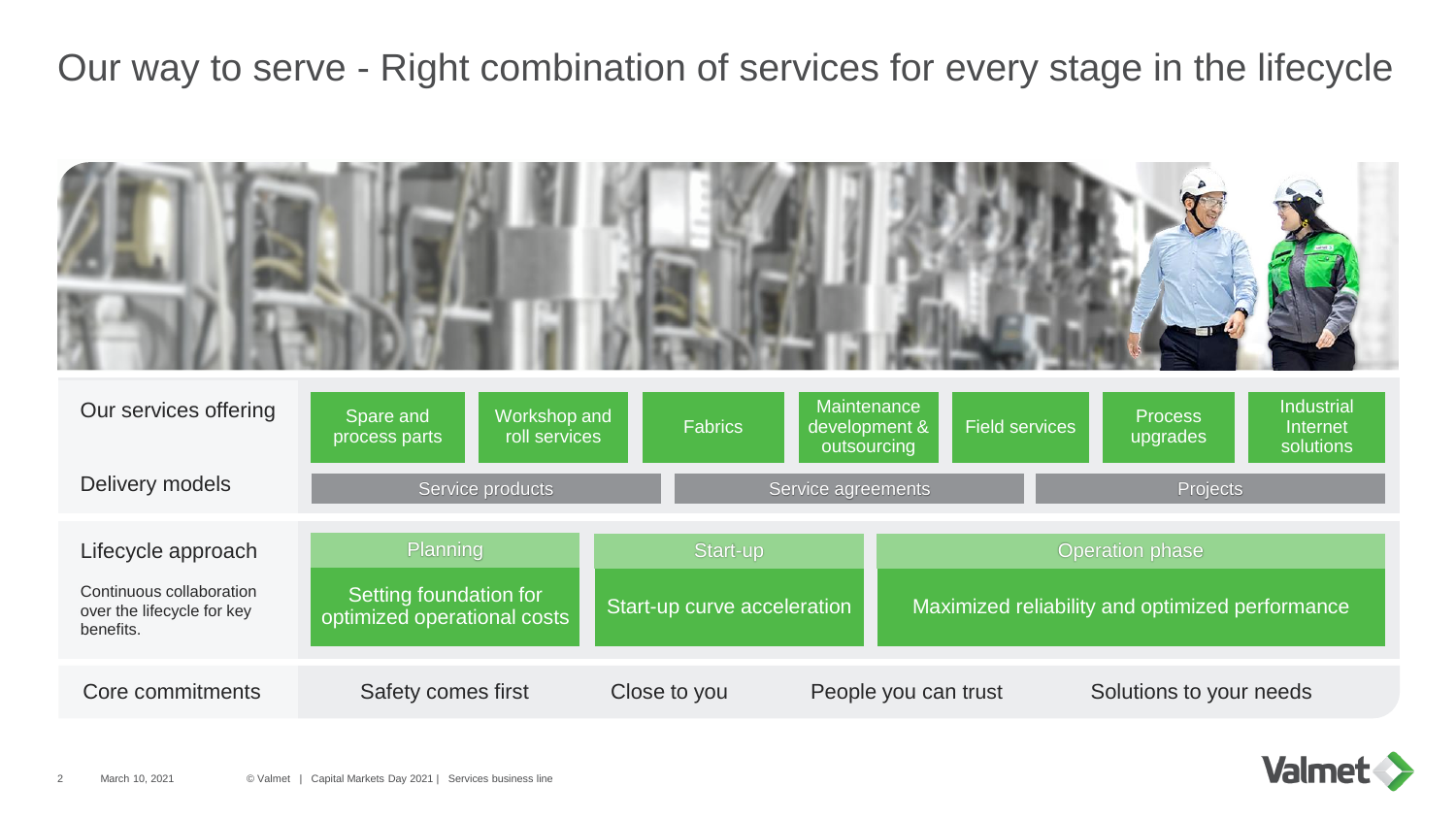Our way to serve - Right combination of services for every stage in the lifecycle



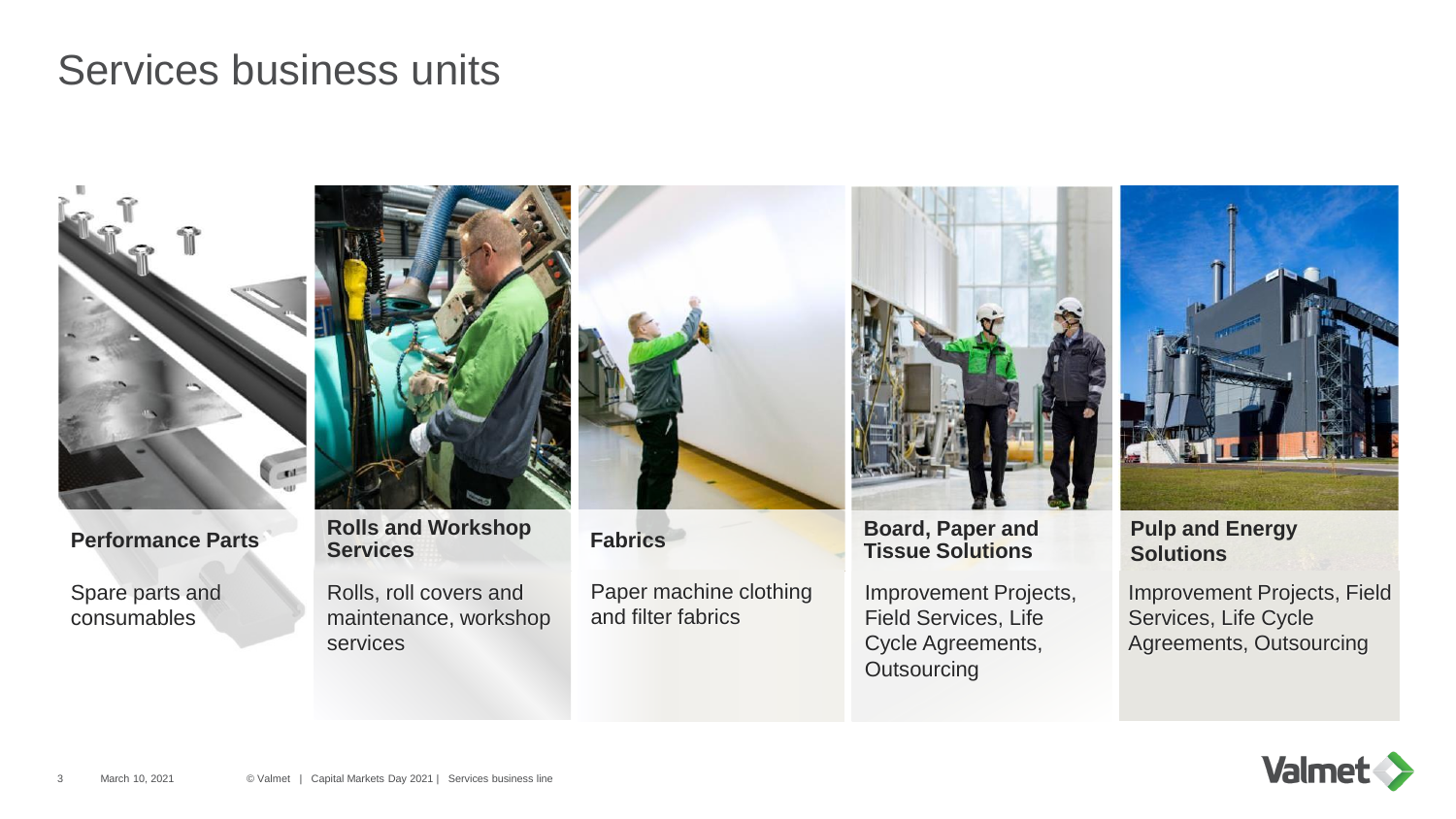## Services business units



Spare parts and consumables



**Performance Parts Rolls and Workshop <b>Fabrics Board, Paper and Performance Parts Rolls Rolls Rolls Example 2 Example 2 Performance Parts Rolls Rolls Example 2 Example 2 Example 2 Example 2 C** 

Rolls, roll covers and maintenance, workshop services



Paper machine clothing and filter fabrics



**Tissue Solutions**

Improvement Projects, Field Services, Life Cycle Agreements, **Outsourcing** 



**Pulp and Energy Solutions**

Improvement Projects, Field Services, Life Cycle Agreements, Outsourcing

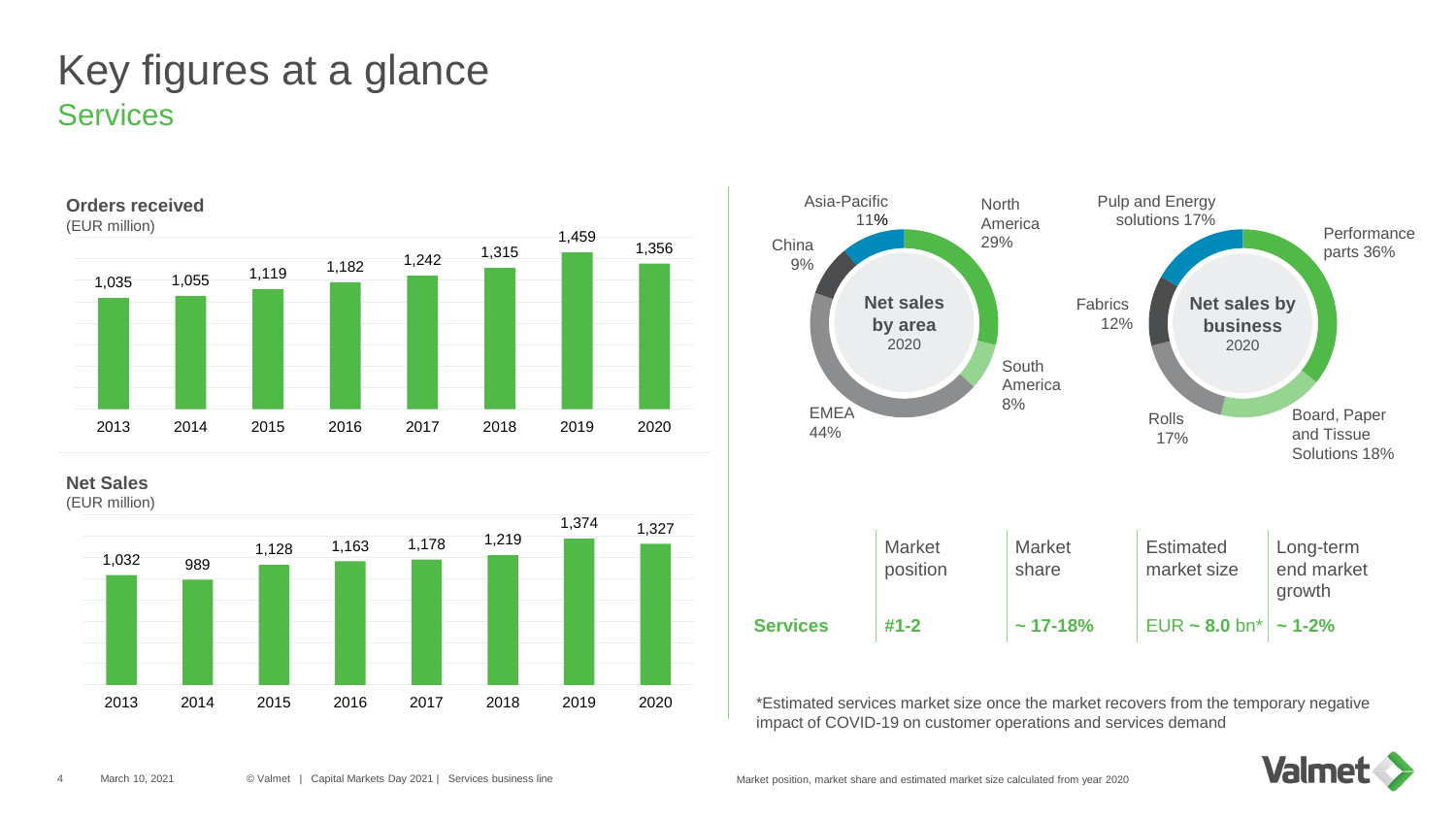## **Services** Key figures at a glance



**Net Sales**

(EUR million)





\*Estimated services market size once the market recovers from the temporary negative impact of COVID-19 on customer operations and services demand

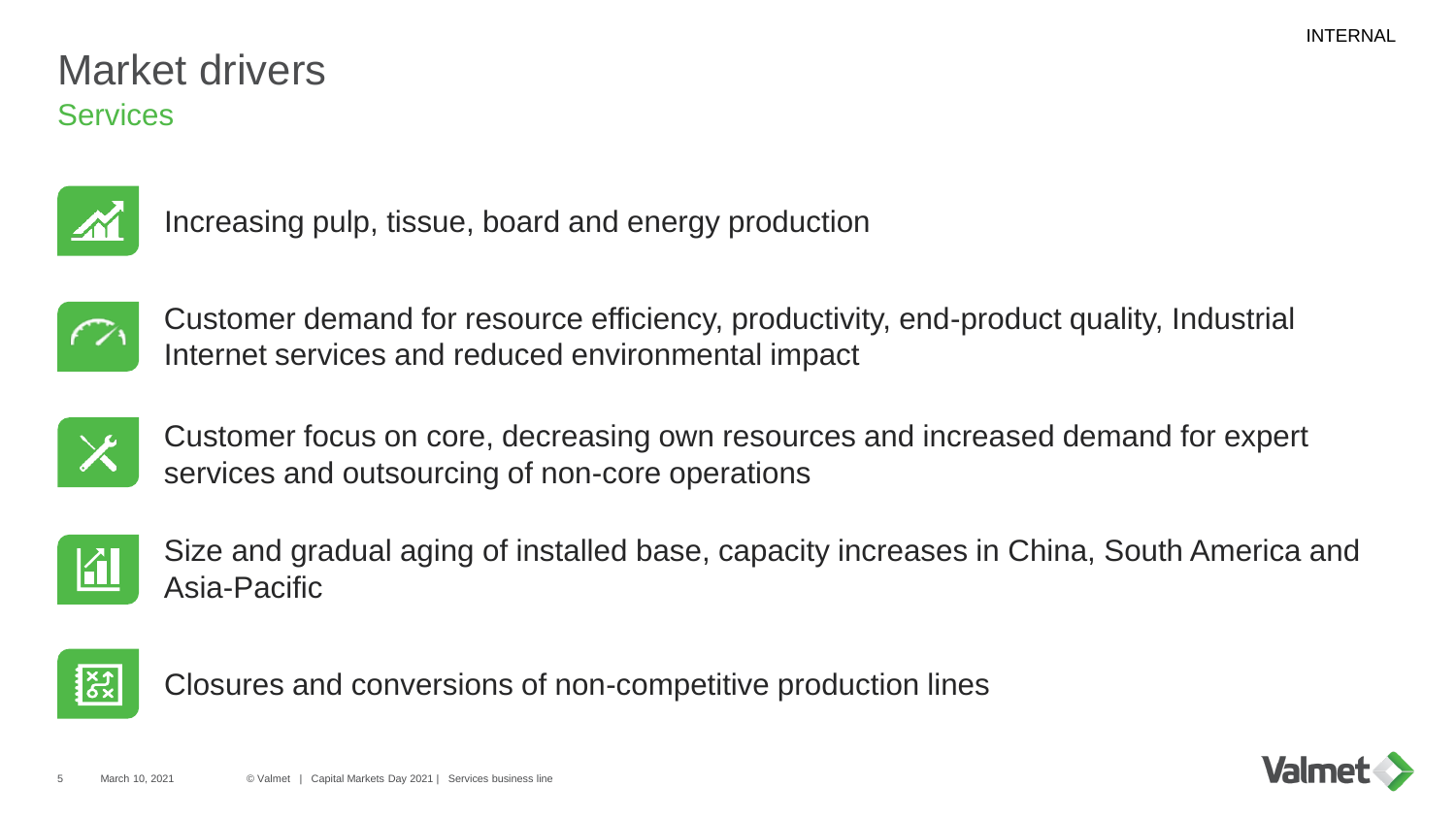## **Services** Market drivers



Increasing pulp, tissue, board and energy production



Customer demand for resource efficiency, productivity, end-product quality, Industrial Internet services and reduced environmental impact



Customer focus on core, decreasing own resources and increased demand for expert services and outsourcing of non-core operations



Size and gradual aging of installed base, capacity increases in China, South America and Asia-Pacific



Closures and conversions of non-competitive production lines

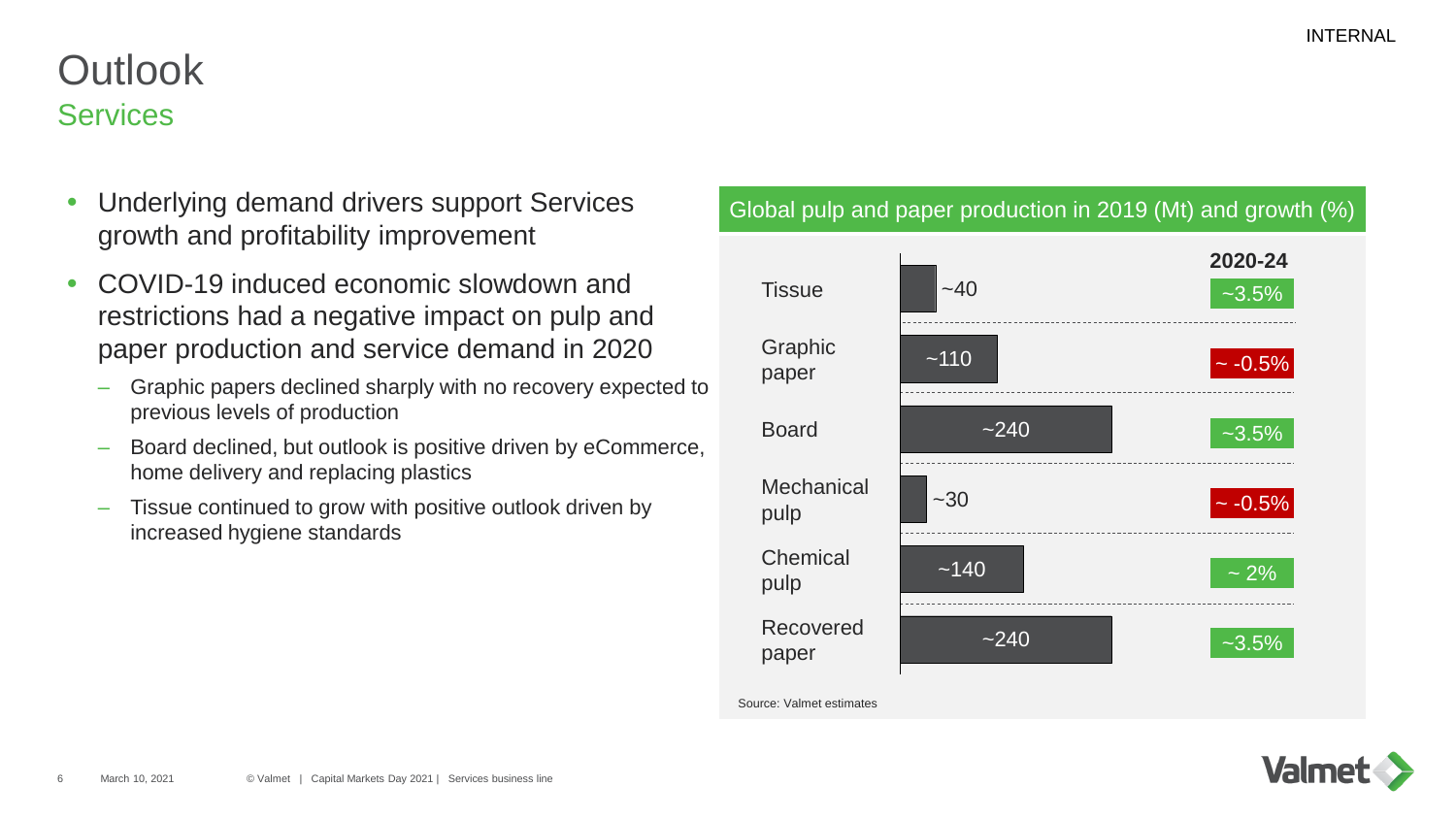## **Services Outlook**

- Underlying demand drivers support Services growth and profitability improvement
- COVID-19 induced economic slowdown and restrictions had a negative impact on pulp and paper production and service demand in 2020
	- Graphic papers declined sharply with no recovery expected to previous levels of production
	- Board declined, but outlook is positive driven by eCommerce, home delivery and replacing plastics
	- Tissue continued to grow with positive outlook driven by increased hygiene standards

#### Global pulp and paper production in 2019 (Mt) and growth (%)



Source: Valmet estimates

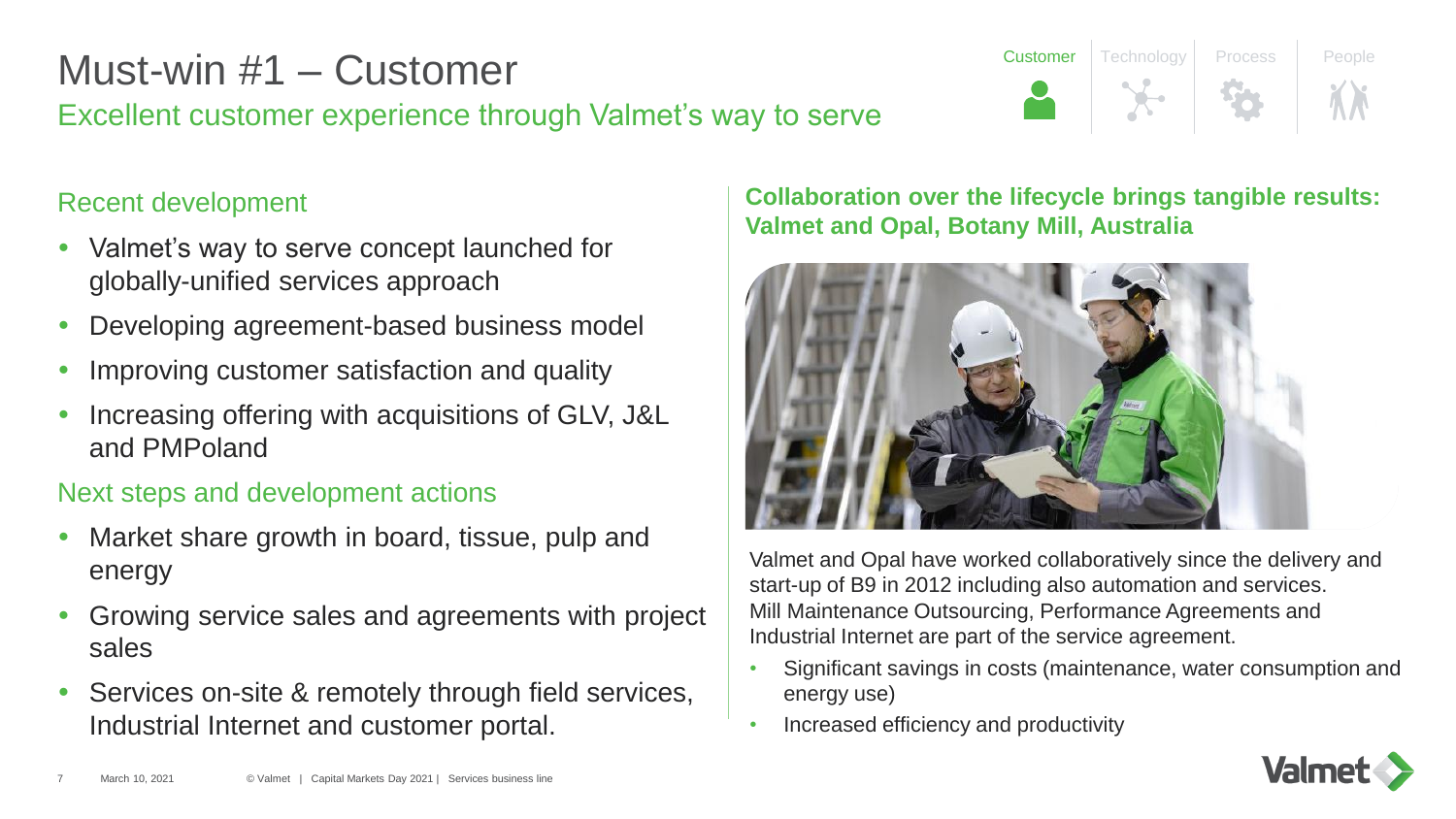# Must-win #1 – Customer

# Excellent customer experience through Valmet's way to serve

## Recent development

- Valmet's way to serve concept launched for globally-unified services approach
- Developing agreement-based business model
- Improving customer satisfaction and quality
- Increasing offering with acquisitions of GLV, J&L and PMPoland

## Next steps and development actions

- Market share growth in board, tissue, pulp and energy
- Growing service sales and agreements with project sales
- Services on-site & remotely through field services, Industrial Internet and customer portal.

### **Collaboration over the lifecycle brings tangible results: Valmet and Opal, Botany Mill, Australia**

**Customer** Technology Process People



Valmet and Opal have worked collaboratively since the delivery and start-up of B9 in 2012 including also automation and services. Mill Maintenance Outsourcing, Performance Agreements and Industrial Internet are part of the service agreement.

- Significant savings in costs (maintenance, water consumption and energy use)
- Increased efficiency and productivity

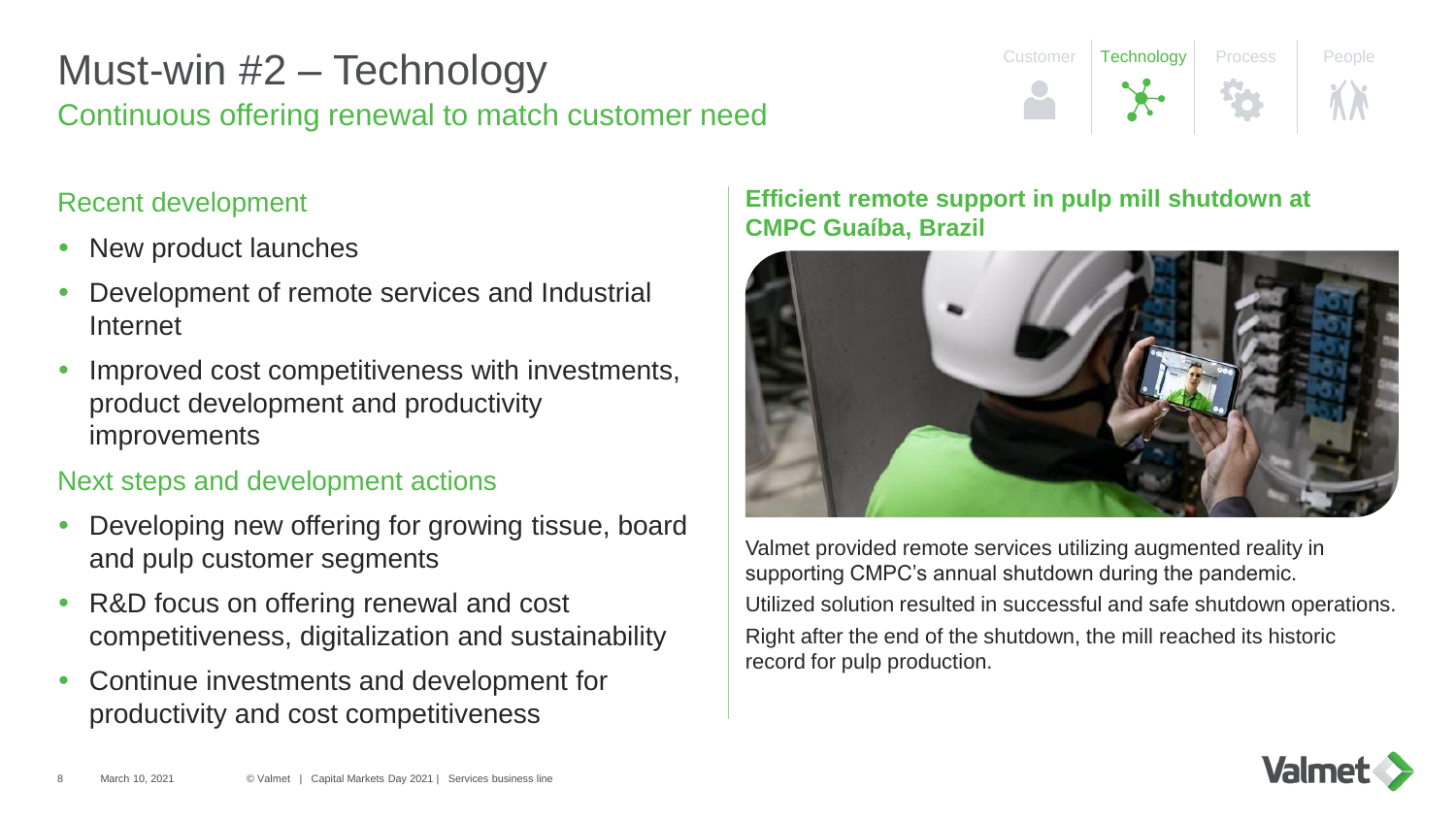## Continuous offering renewal to match customer need Must-win #2 – Technology

## Recent development

- New product launches
- Development of remote services and Industrial Internet
- Improved cost competitiveness with investments, product development and productivity improvements

## Next steps and development actions

- Developing new offering for growing tissue, board and pulp customer segments
- R&D focus on offering renewal and cost competitiveness, digitalization and sustainability
- Continue investments and development for productivity and cost competitiveness

#### **Efficient remote support in pulp mill shutdown at CMPC Guaíba, Brazil**



Customer | Technology | Process | People

Valmet provided remote services utilizing augmented reality in supporting CMPC's annual shutdown during the pandemic. Utilized solution resulted in successful and safe shutdown operations. Right after the end of the shutdown, the mill reached its historic record for pulp production.

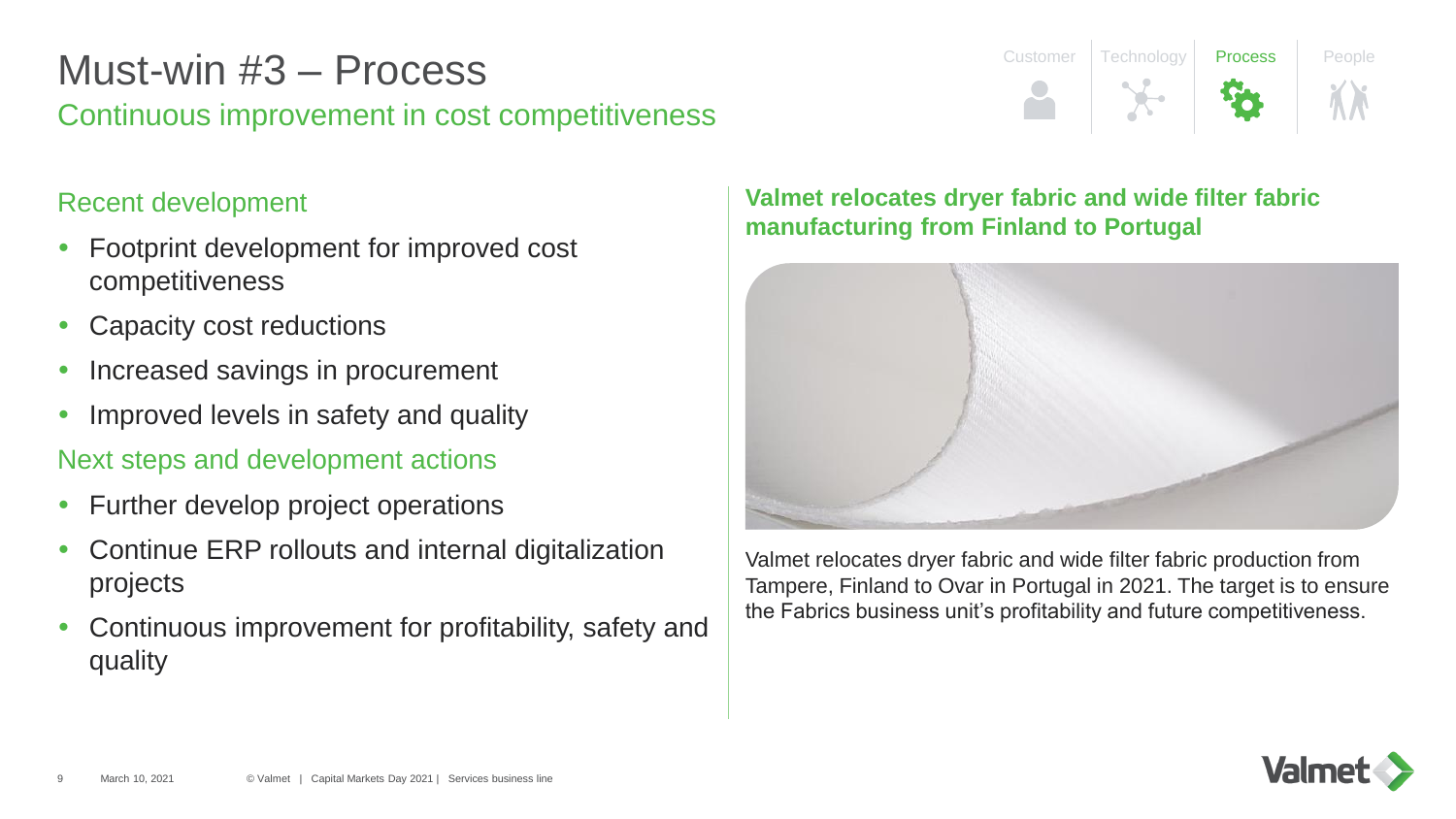## Continuous improvement in cost competitiveness Must-win #3 – Process

### Recent development

- Footprint development for improved cost competitiveness
- Capacity cost reductions
- Increased savings in procurement
- Improved levels in safety and quality

Next steps and development actions

- Further develop project operations
- Continue ERP rollouts and internal digitalization projects
- Continuous improvement for profitability, safety and quality

#### **Valmet relocates dryer fabric and wide filter fabric manufacturing from Finland to Portugal**



Customer Technology Process People

Valmet relocates dryer fabric and wide filter fabric production from Tampere, Finland to Ovar in Portugal in 2021. The target is to ensure the Fabrics business unit's profitability and future competitiveness.

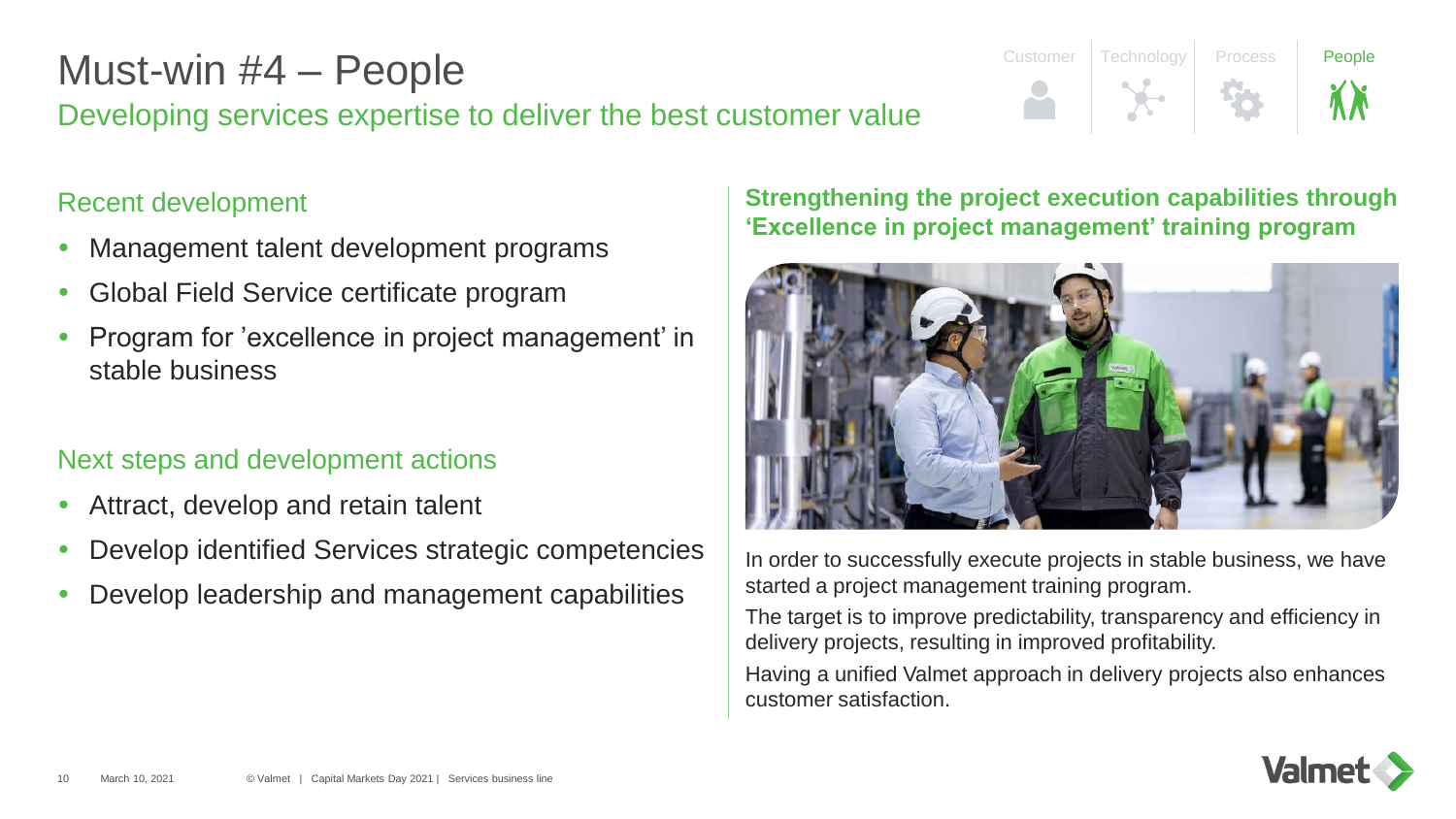# Must-win #4 – People

## Developing services expertise to deliver the best customer value

# Customer Technology Process **People**

## Recent development

- Management talent development programs
- Global Field Service certificate program
- Program for 'excellence in project management' in stable business

## Next steps and development actions

- Attract, develop and retain talent
- Develop identified Services strategic competencies
- Develop leadership and management capabilities

#### **Strengthening the project execution capabilities through 'Excellence in project management' training program**



In order to successfully execute projects in stable business, we have started a project management training program.

The target is to improve predictability, transparency and efficiency in delivery projects, resulting in improved profitability.

Having a unified Valmet approach in delivery projects also enhances customer satisfaction.